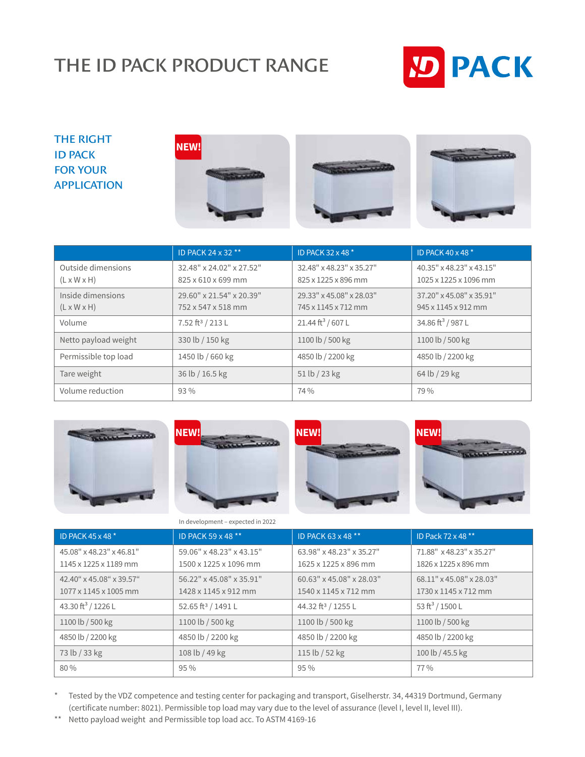## THE ID PACK PRODUCT RANGE



## THE RIGHT ID PACK FOR YOUR APPLICATION







|                                               | ID PACK 24 x 32 **                             | ID PACK 32 x 48 *                               | ID PACK 40 x 48 *                                 |
|-----------------------------------------------|------------------------------------------------|-------------------------------------------------|---------------------------------------------------|
| Outside dimensions<br>$(L \times W \times H)$ | 32.48" x 24.02" x 27.52"<br>825 x 610 x 699 mm | 32.48" x 48.23" x 35.27"<br>825 x 1225 x 896 mm | 40.35" x 48.23" x 43.15"<br>1025 x 1225 x 1096 mm |
| Inside dimensions<br>$(L \times W \times H)$  | 29.60" x 21.54" x 20.39"<br>752 x 547 x 518 mm | 29.33" x 45.08" x 28.03"<br>745 x 1145 x 712 mm | 37.20" x 45.08" x 35.91"<br>945 x 1145 x 912 mm   |
| Volume                                        | 7.52 ft <sup>3</sup> / 213 L                   | 21.44 ft <sup>3</sup> / 607 L                   | 34.86 ft <sup>3</sup> / 987 L                     |
| Netto payload weight                          | 330 lb / 150 kg                                | 1100 lb / 500 kg                                | 1100 lb / 500 kg                                  |
| Permissible top load                          | 1450 lb / 660 kg                               | 4850 lb / 2200 kg                               | 4850 lb / 2200 kg                                 |
| Tare weight                                   | 36 lb / 16.5 kg                                | 51 lb / 23 kg                                   | 64 lb / 29 kg                                     |
| Volume reduction                              | $93\%$                                         | 74 %                                            | 79 %                                              |



| in acyclopinent expected in 2022                  |                                                   |                                                  |                                                  |
|---------------------------------------------------|---------------------------------------------------|--------------------------------------------------|--------------------------------------------------|
| ID PACK 45 x 48 *                                 | ID PACK 59 x 48 **                                | ID PACK 63 x 48 **                               | ID Pack 72 x 48 **                               |
| 45.08" x 48.23" x 46.81"<br>1145 x 1225 x 1189 mm | 59.06" x 48.23" x 43.15"<br>1500 x 1225 x 1096 mm | 63.98" x 48.23" x 35.27"<br>1625 x 1225 x 896 mm | 71.88" x 48.23" x 35.27"<br>1826 x 1225 x 896 mm |
| 42.40" x 45.08" x 39.57"<br>1077 x 1145 x 1005 mm | 56.22" x 45.08" x 35.91"<br>1428 x 1145 x 912 mm  | 60.63" x 45.08" x 28.03"<br>1540 x 1145 x 712 mm | 68.11" x 45.08" x 28.03"<br>1730 x 1145 x 712 mm |
| 43.30 ft <sup>3</sup> / 1226 L                    | 52.65 ft <sup>3</sup> / 1491 L                    | 44.32 ft <sup>3</sup> / 1255 L                   | 53 ft <sup>3</sup> / 1500 L                      |
| 1100 lb / 500 kg                                  | 1100 lb / 500 kg                                  | 1100 lb / 500 kg                                 | 1100 lb / 500 kg                                 |
| 4850 lb / 2200 kg                                 | 4850 lb / 2200 kg                                 | 4850 lb / 2200 kg                                | 4850 lb / 2200 kg                                |
| 73 lb / 33 kg                                     | 108 lb / 49 kg                                    | 115 lb / 52 kg                                   | 100 lb / 45.5 kg                                 |
| 80 %                                              | $95\%$                                            | $95\%$                                           | 77 %                                             |

\* Tested by the VDZ competence and testing center for packaging and transport, Giselherstr. 34, 44319 Dortmund, Germany (certificate number: 8021). Permissible top load may vary due to the level of assurance (level I, level II, level III).

\*\* Netto payload weight and Permissible top load acc. To ASTM 4169-16